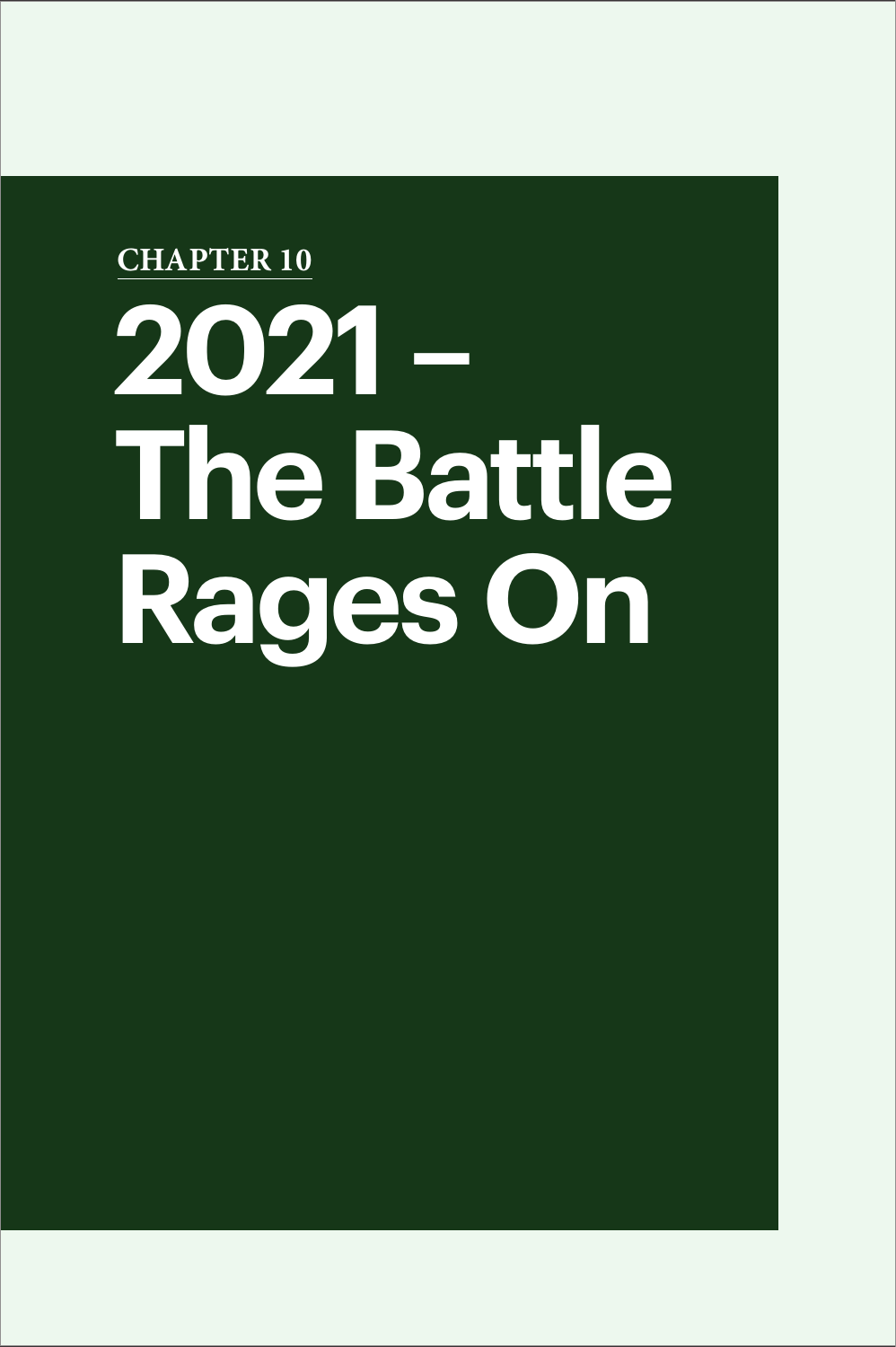# **2021 – The Battle Rages On CHAPTER 10**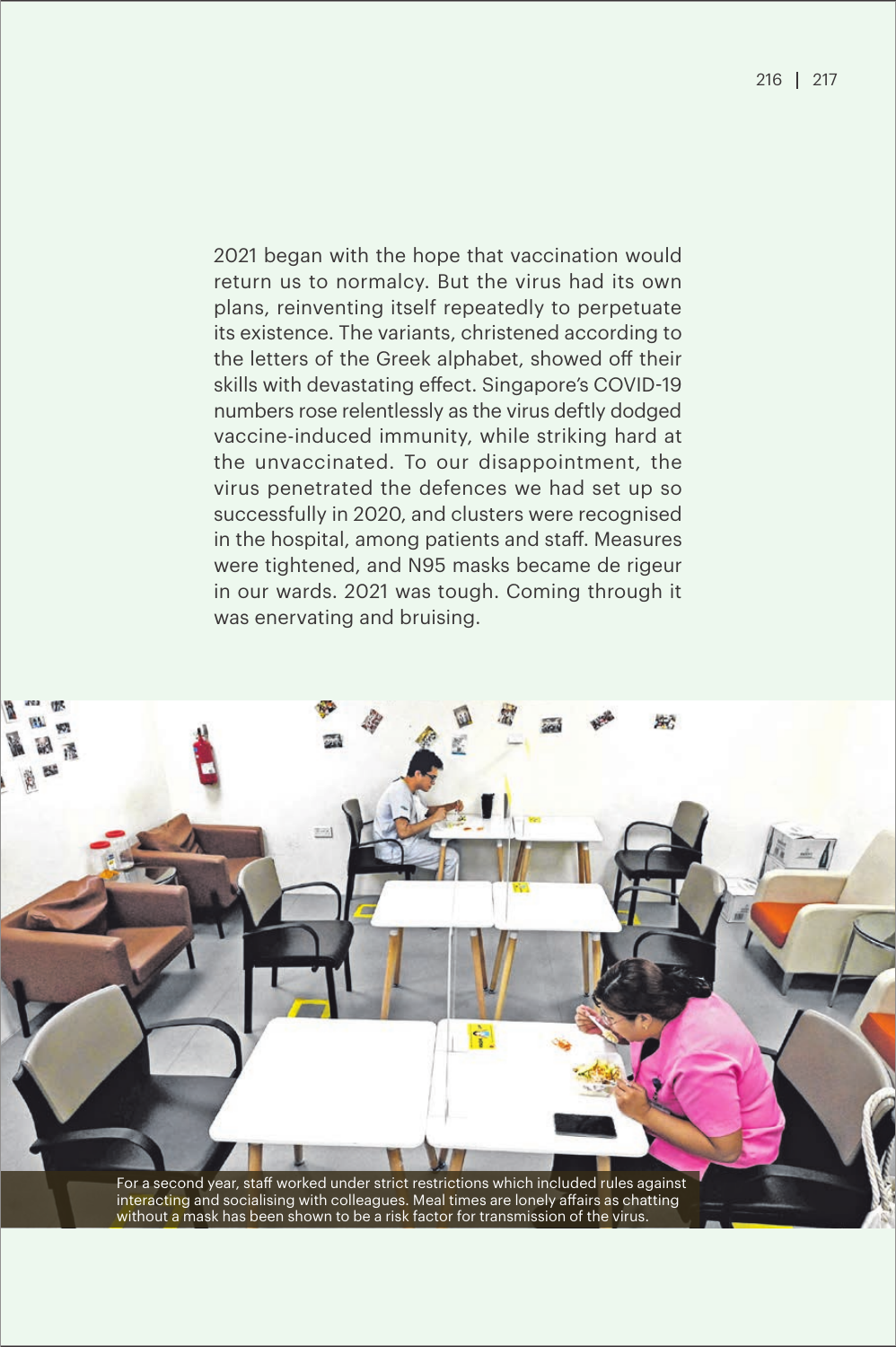2021 began with the hope that vaccination would return us to normalcy. But the virus had its own plans, reinventing itself repeatedly to perpetuate its existence. The variants, christened according to the letters of the Greek alphabet, showed off their skills with devastating effect. Singapore's COVID-19 numbers rose relentlessly as the virus deftly dodged vaccine-induced immunity, while striking hard at the unvaccinated. To our disappointment, the virus penetrated the defences we had set up so successfully in 2020, and clusters were recognised in the hospital, among patients and staff. Measures were tightened, and N95 masks became de rigeur in our wards. 2021 was tough. Coming through it was enervating and bruising.

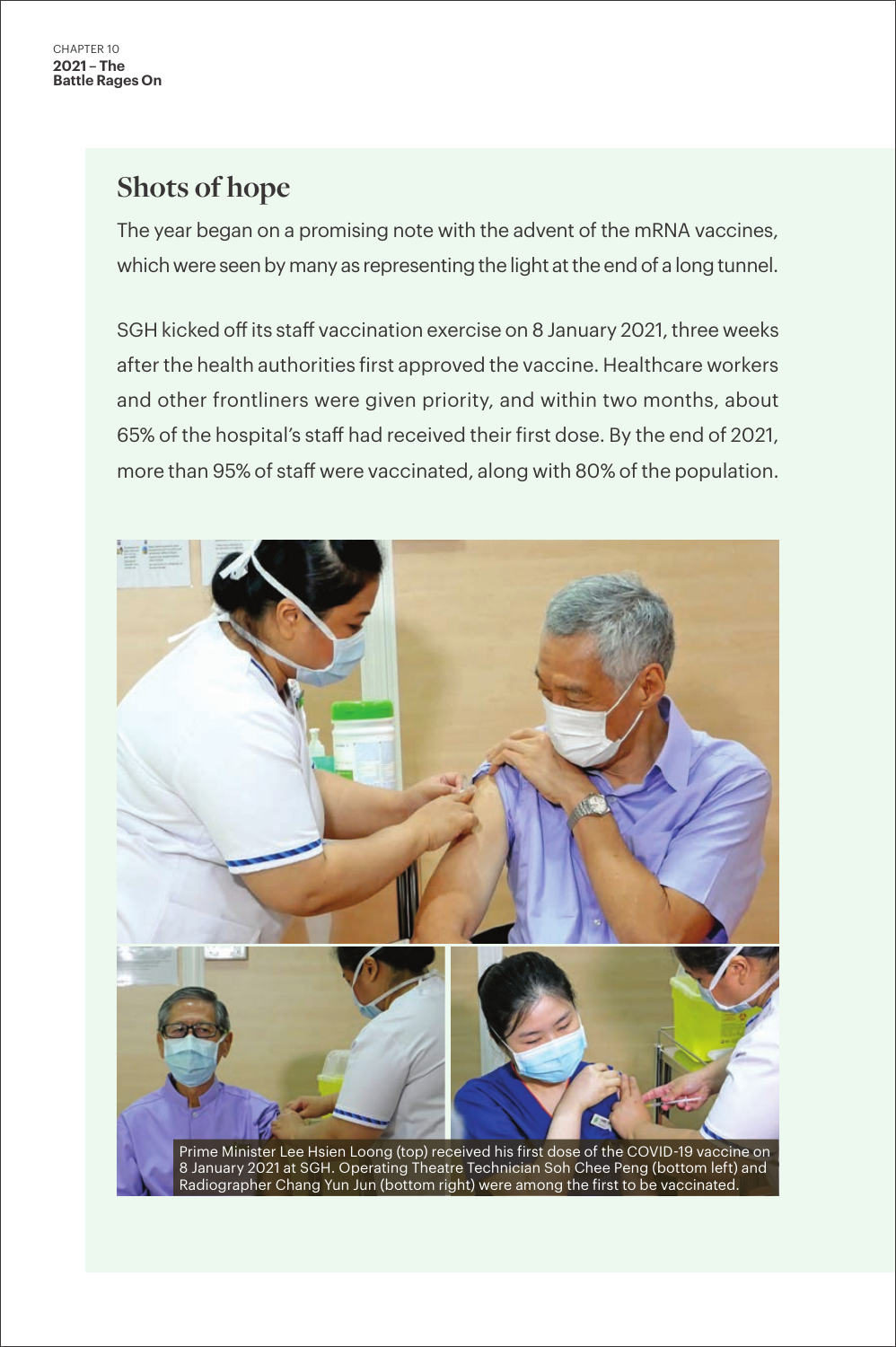# **Shots of hope**

The year began on a promising note with the advent of the mRNA vaccines, which were seen by many as representing the light at the end of a long tunnel.

SGH kicked off its staff vaccination exercise on 8 January 2021, three weeks after the health authorities first approved the vaccine. Healthcare workers and other frontliners were given priority, and within two months, about 65% of the hospital's staff had received their first dose. By the end of 2021, more than 95% of staff were vaccinated, along with 80% of the population.

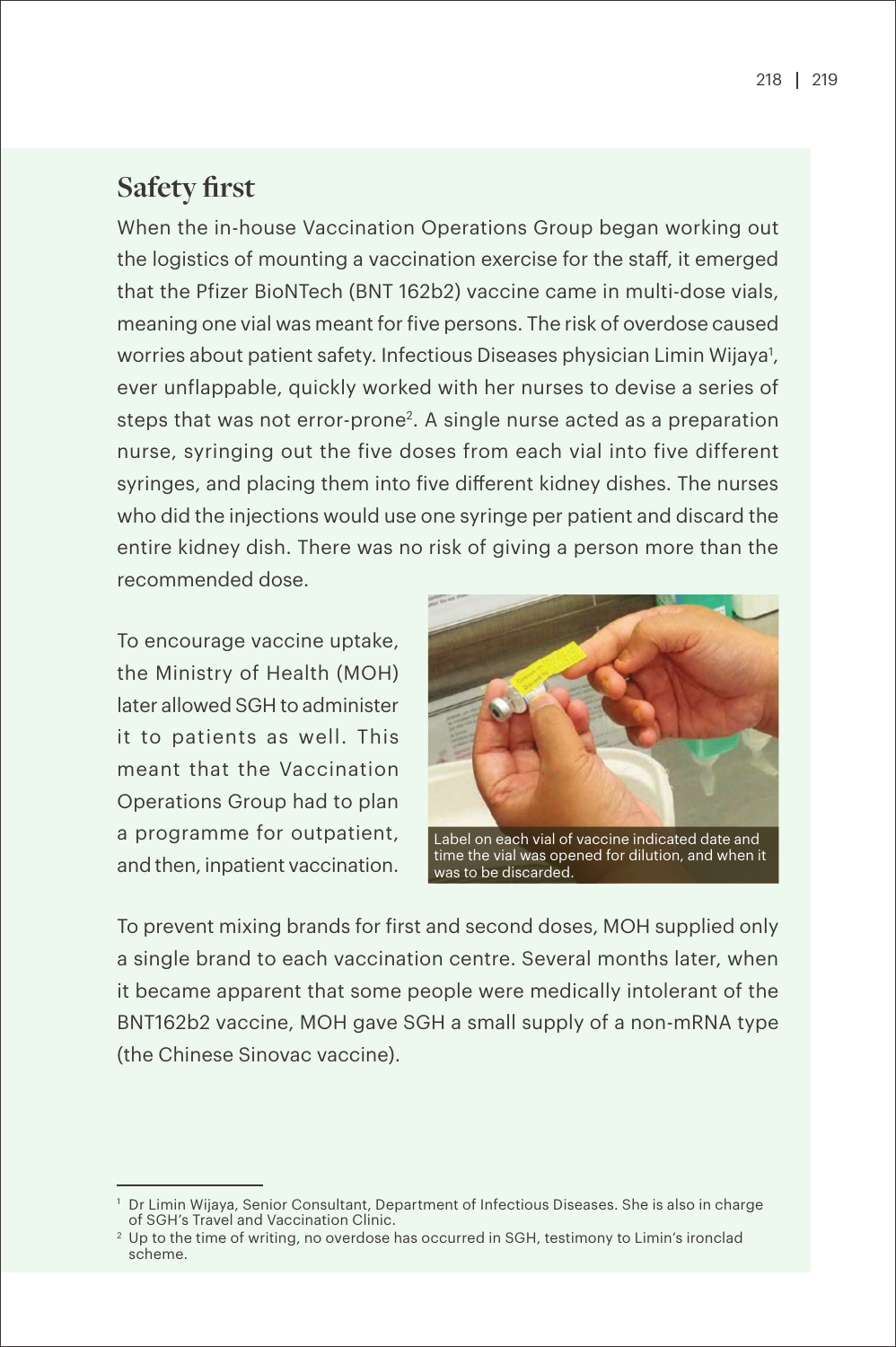## **Safety first**

When the in-house Vaccination Operations Group began working out the logistics of mounting a vaccination exercise for the staff, it emerged that the Pfizer BioNTech (BNT 162b2) vaccine came in multi-dose vials, meaning one vial was meant for five persons. The risk of overdose caused worries about patient safety. Infectious Diseases physician Limin Wijaya<sup>1</sup>, ever unflappable, quickly worked with her nurses to devise a series of steps that was not error-prone<sup>2</sup>. A single nurse acted as a preparation nurse, syringing out the five doses from each vial into five different syringes, and placing them into five different kidney dishes. The nurses who did the injections would use one syringe per patient and discard the entire kidney dish. There was no risk of giving a person more than the recommended dose.

To encourage vaccine uptake, the Ministry of Health (MOH) later allowed SGH to administer it to patients as well. This meant that the Vaccination Operations Group had to plan a programme for outpatient, and then, inpatient vaccination.



time the vial was opened for dilution, and when it was to be discarded.

To prevent mixing brands for first and second doses, MOH supplied only a single brand to each vaccination centre. Several months later, when it became apparent that some people were medically intolerant of the BNT162b2 vaccine, MOH gave SGH a small supply of a non-mRNA type (the Chinese Sinovac vaccine).

<sup>1</sup> Dr Limin Wijaya, Senior Consultant, Department of Infectious Diseases. She is also in charge of SGH's Travel and Vaccination Clinic.

<sup>&</sup>lt;sup>2</sup> Up to the time of writing, no overdose has occurred in SGH, testimony to Limin's ironclad scheme.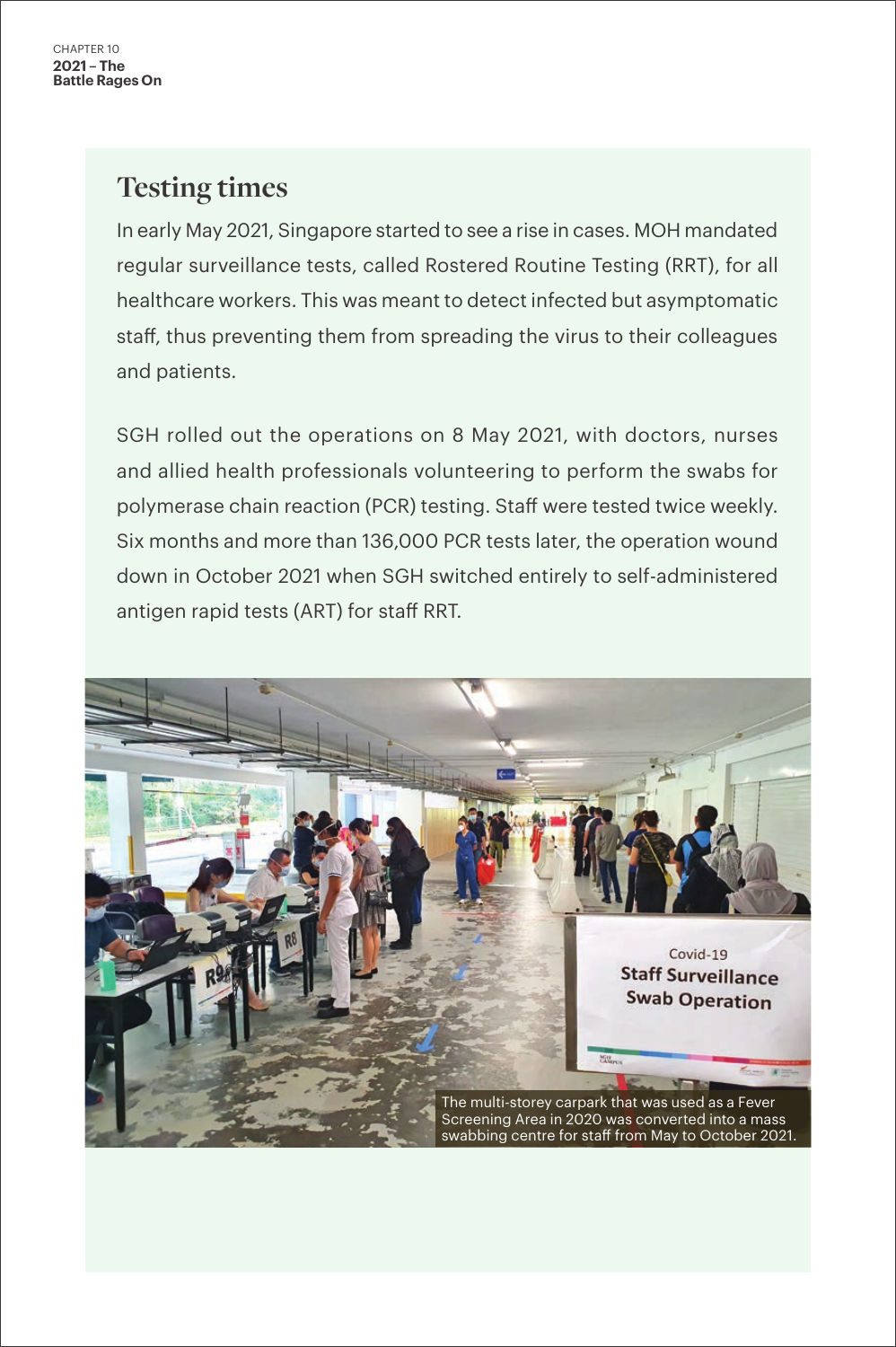## **Testing times**

In early May 2021, Singapore started to see a rise in cases. MOH mandated regular surveillance tests, called Rostered Routine Testing (RRT), for all healthcare workers. This was meant to detect infected but asymptomatic staff, thus preventing them from spreading the virus to their colleagues and patients.

SGH rolled out the operations on 8 May 2021, with doctors, nurses and allied health professionals volunteering to perform the swabs for polymerase chain reaction (PCR) testing. Staff were tested twice weekly. Six months and more than 136,000 PCR tests later, the operation wound down in October 2021 when SGH switched entirely to self-administered antigen rapid tests (ART) for staff RRT.

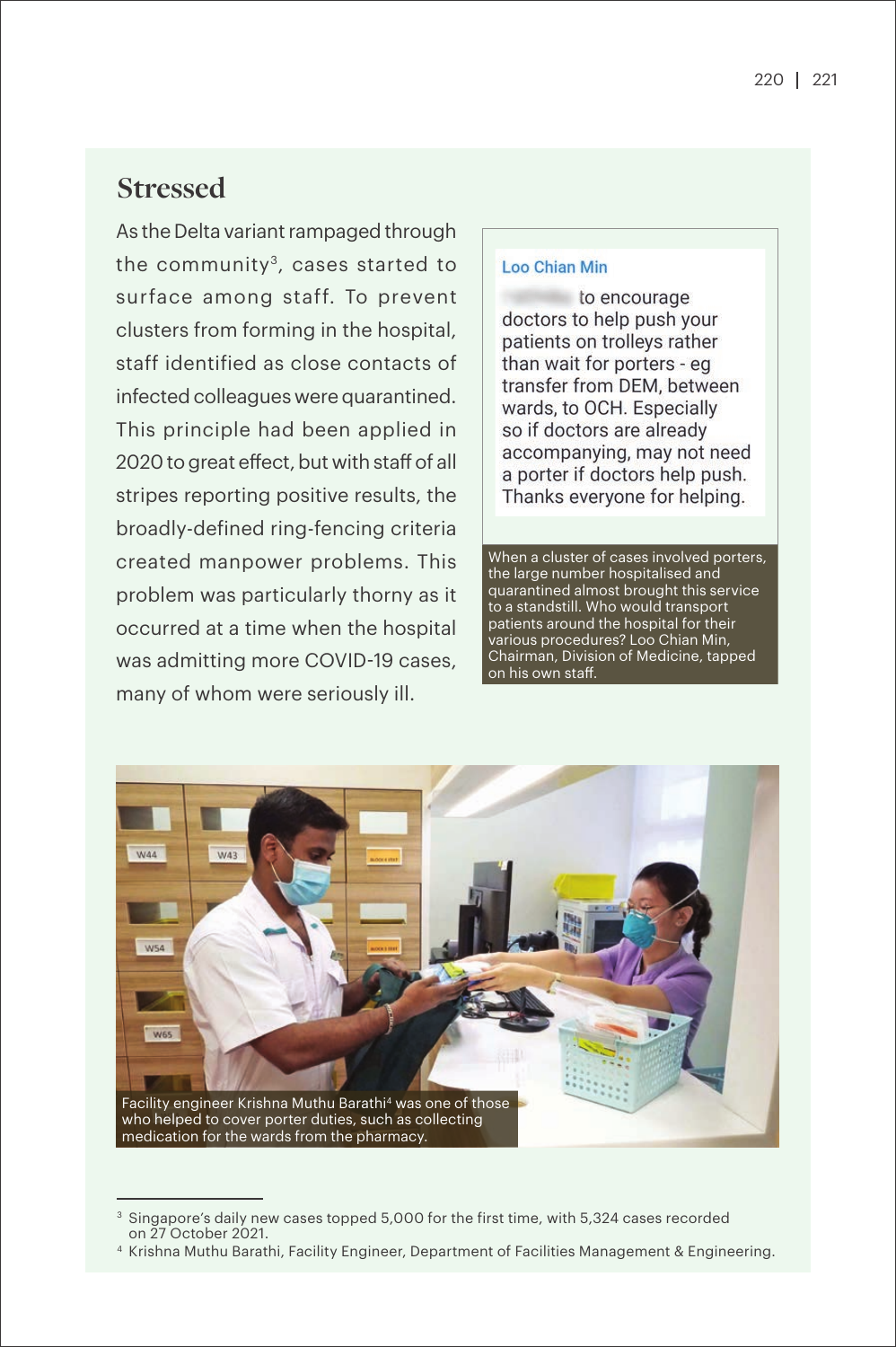## **Stressed**

As the Delta variant rampaged through the community<sup>3</sup>, cases started to surface among staff. To prevent clusters from forming in the hospital, staff identified as close contacts of infected colleagues were quarantined. This principle had been applied in 2020 to great effect, but with staff of all stripes reporting positive results, the broadly-defined ring-fencing criteria created manpower problems. This problem was particularly thorny as it occurred at a time when the hospital was admitting more COVID-19 cases, many of whom were seriously ill.

#### **Loo Chian Min**

to encourage doctors to help push your patients on trolleys rather than wait for porters - eq transfer from DEM, between wards, to OCH. Especially so if doctors are already accompanying, may not need a porter if doctors help push. Thanks everyone for helping.

When a cluster of cases involved porters, the large number hospitalised and quarantined almost brought this service to a standstill. Who would transport patients around the hospital for their various procedures? Loo Chian Min, Chairman, Division of Medicine, tapped on his own staff.



<sup>&</sup>lt;sup>3</sup> Singapore's daily new cases topped 5,000 for the first time, with 5,324 cases recorded on 27 October 2021.

<sup>4</sup> Krishna Muthu Barathi, Facility Engineer, Department of Facilities Management & Engineering.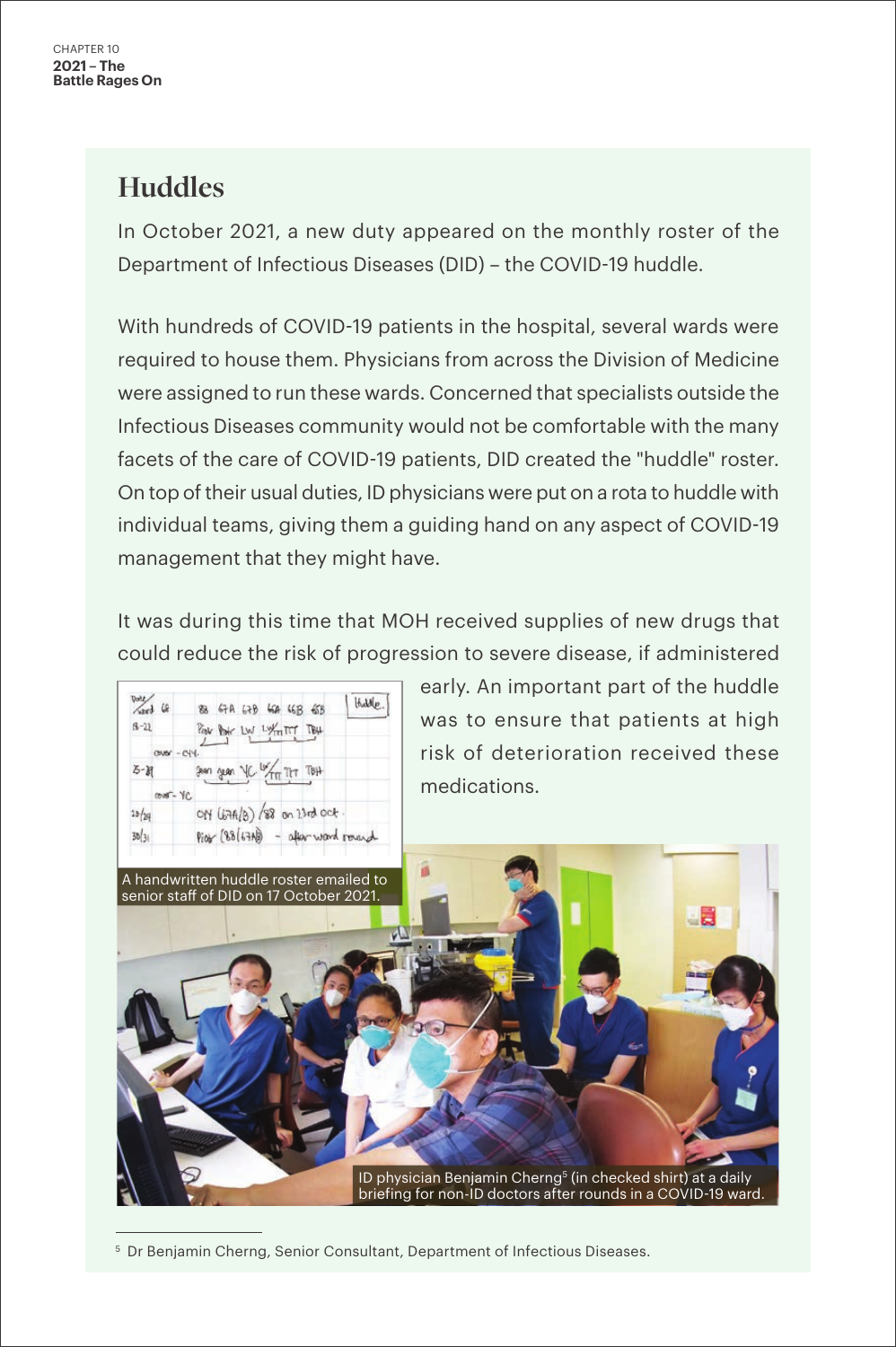## **Huddles**

In October 2021, a new duty appeared on the monthly roster of the Department of Infectious Diseases (DID) – the COVID-19 huddle.

With hundreds of COVID-19 patients in the hospital, several wards were required to house them. Physicians from across the Division of Medicine were assigned to run these wards. Concerned that specialists outside the Infectious Diseases community would not be comfortable with the many facets of the care of COVID-19 patients, DID created the "huddle" roster. On top of their usual duties, ID physicians were put on a rota to huddle with individual teams, giving them a guiding hand on any aspect of COVID-19 management that they might have.

It was during this time that MOH received supplies of new drugs that could reduce the risk of progression to severe disease, if administered

early. An important part of the huddle  $\frac{1}{\sqrt{2}}$  $H_{\text{odd}}(p)$ 83 67A 47B 66A 66R 65B was to ensure that patients at high  $8 - 22$ Post Post LW LYFITT TB4 risk of deterioration received these  $Z - M$ geen geen VC medications.  $cm - Yc$  $28/29$ ON (67A/B) /88 on 13rd oct  $30/31$  $Pioy(88157)$ - afterward round A handwritten huddle roster emailed to senior staff of DID on 17 October 2021.ID physician Benjamin Cherng<sup>5</sup> (in checked shirt) at a daily briefing for non-ID doctors after rounds in a COVID-19 ward.

<sup>5</sup> Dr Benjamin Cherng, Senior Consultant, Department of Infectious Diseases.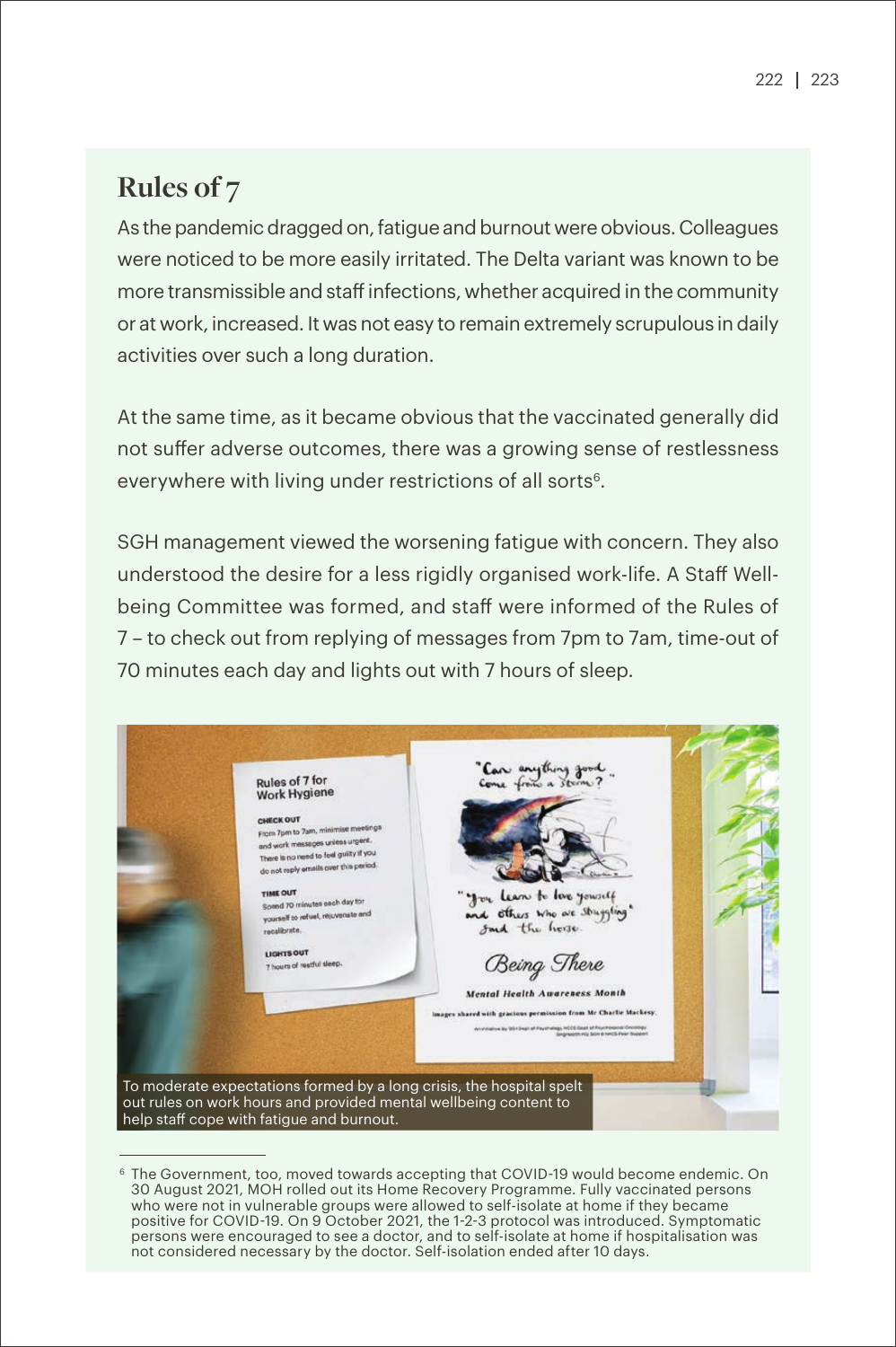## **Rules of 7**

As the pandemic dragged on, fatigue and burnout were obvious. Colleagues were noticed to be more easily irritated. The Delta variant was known to be more transmissible and staff infections, whether acquired in the community or at work, increased. It was not easy to remain extremely scrupulous in daily activities over such a long duration.

At the same time, as it became obvious that the vaccinated generally did not suffer adverse outcomes, there was a growing sense of restlessness everywhere with living under restrictions of all sorts<sup>6</sup>.

SGH management viewed the worsening fatigue with concern. They also understood the desire for a less rigidly organised work-life. A Staff Wellbeing Committee was formed, and staff were informed of the Rules of 7 – to check out from replying of messages from 7pm to 7am, time-out of 70 minutes each day and lights out with 7 hours of sleep.



<sup>&</sup>lt;sup>6</sup> The Government, too, moved towards accepting that COVID-19 would become endemic. On 30 August 2021, MOH rolled out its Home Recovery Programme. Fully vaccinated persons who were not in vulnerable groups were allowed to self-isolate at home if they became positive for COVID-19. On 9 October 2021, the 1-2-3 protocol was introduced. Symptomatic persons were encouraged to see a doctor, and to self-isolate at home if hospitalisation was not considered necessary by the doctor. Self-isolation ended after 10 days.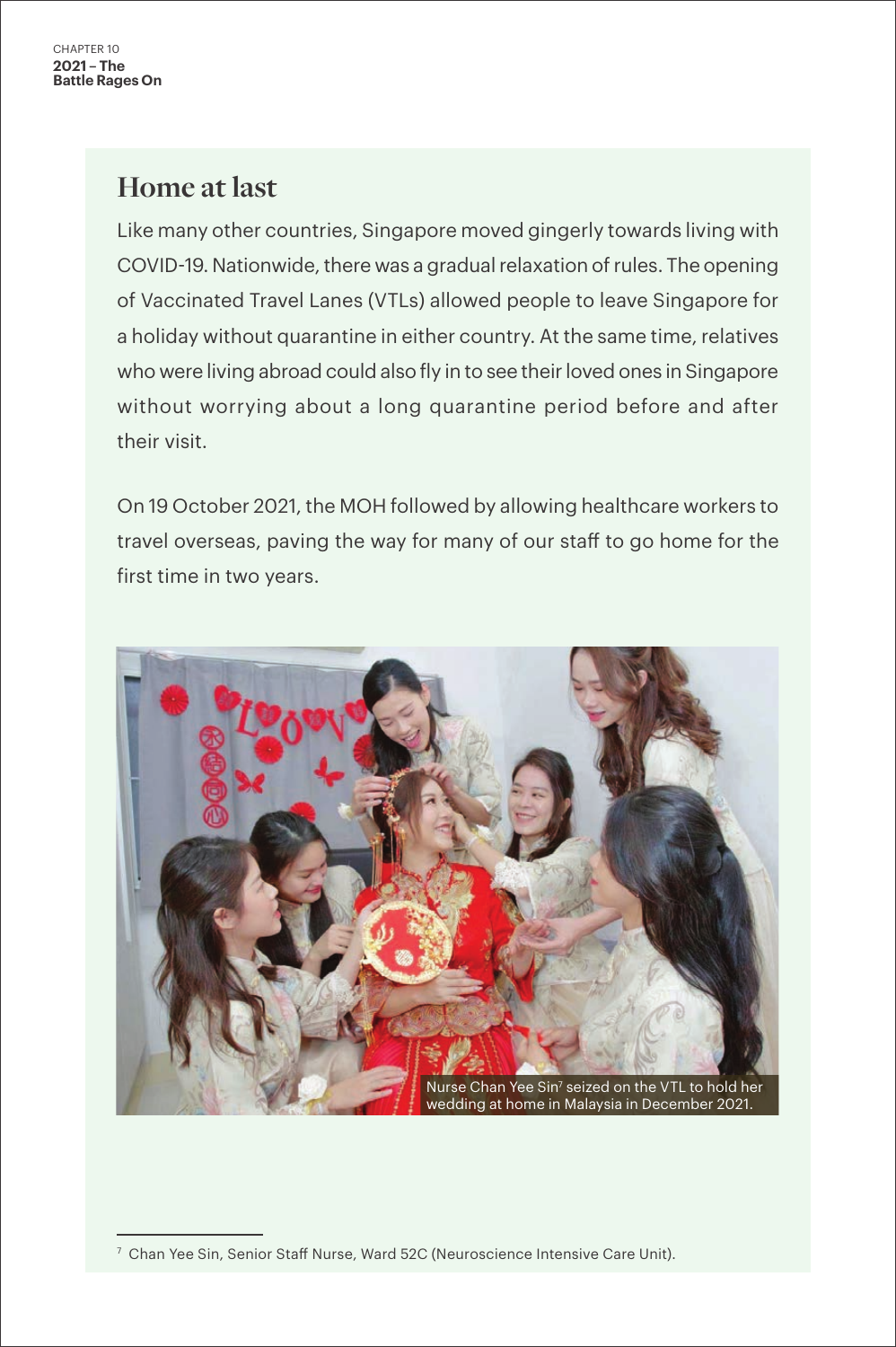## **Home at last**

Like many other countries, Singapore moved gingerly towards living with COVID-19. Nationwide, there was a gradual relaxation of rules. The opening of Vaccinated Travel Lanes (VTLs) allowed people to leave Singapore for a holiday without quarantine in either country. At the same time, relatives who were living abroad could also fly in to see their loved ones in Singapore without worrying about a long quarantine period before and after their visit.

On 19 October 2021, the MOH followed by allowing healthcare workers to travel overseas, paving the way for many of our staff to go home for the first time in two years.



 $7$  Chan Yee Sin, Senior Staff Nurse, Ward 52C (Neuroscience Intensive Care Unit).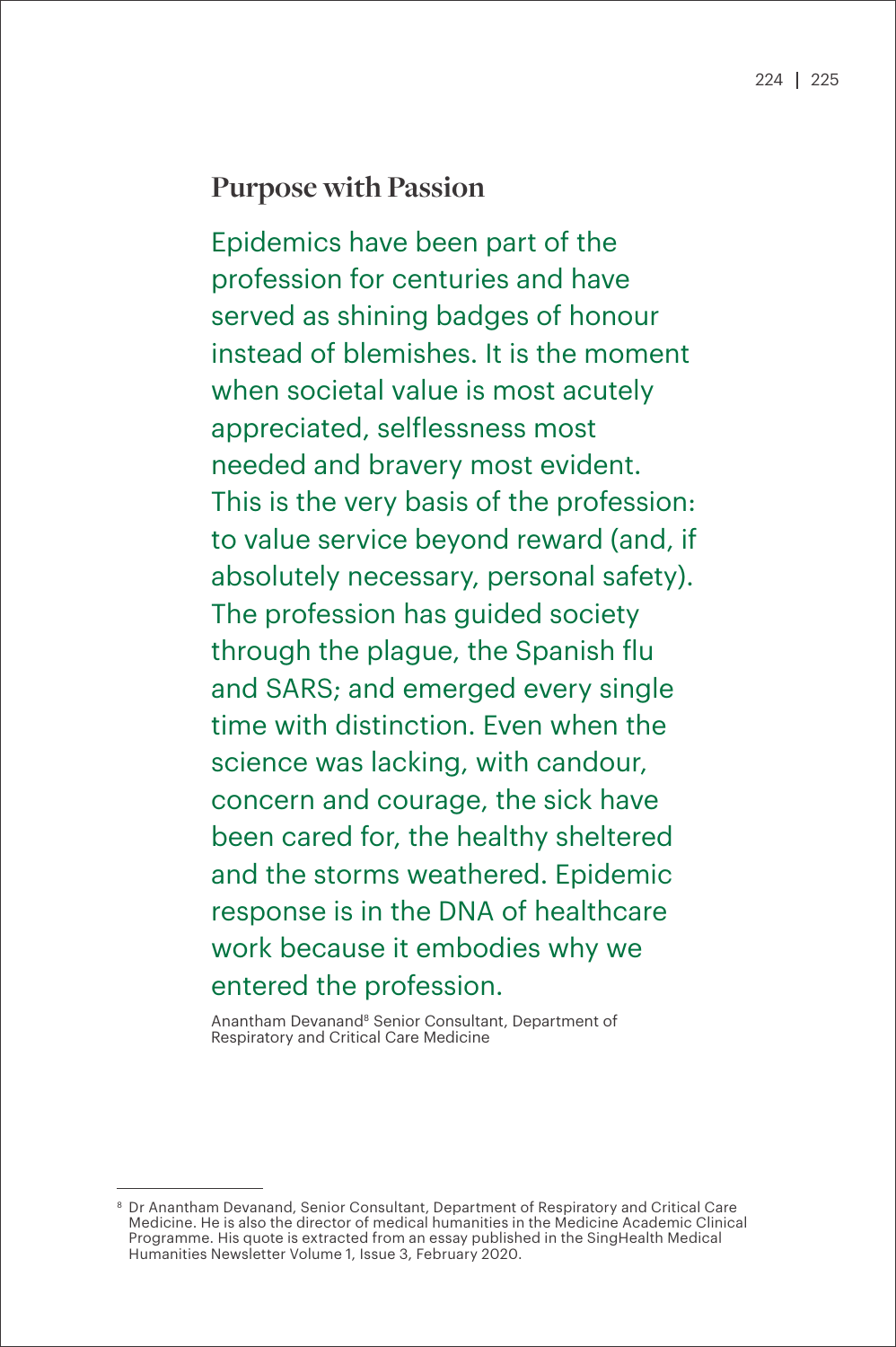### **Purpose with Passion**

Epidemics have been part of the profession for centuries and have served as shining badges of honour instead of blemishes. It is the moment when societal value is most acutely appreciated, selflessness most needed and bravery most evident. This is the very basis of the profession: to value service beyond reward (and, if absolutely necessary, personal safety). The profession has guided society through the plague, the Spanish flu and SARS; and emerged every single time with distinction. Even when the science was lacking, with candour, concern and courage, the sick have been cared for, the healthy sheltered and the storms weathered. Epidemic response is in the DNA of healthcare work because it embodies why we entered the profession.

Anantham Devanand8 Senior Consultant, Department of Respiratory and Critical Care Medicine

<sup>8</sup> Dr Anantham Devanand, Senior Consultant, Department of Respiratory and Critical Care Medicine. He is also the director of medical humanities in the Medicine Academic Clinical Programme. His quote is extracted from an essay published in the SingHealth Medical Humanities Newsletter Volume 1, Issue 3, February 2020.